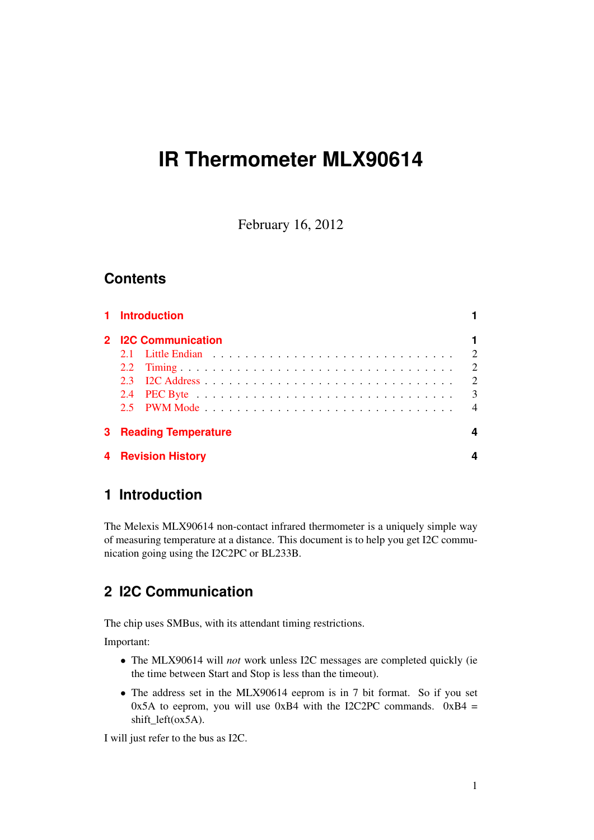# **IR Thermometer MLX90614**

February 16, 2012

## **Contents**

|                              | 1 Introduction            |                |
|------------------------------|---------------------------|----------------|
|                              | 2 I2C Communication       |                |
|                              |                           | $\overline{2}$ |
|                              |                           | $\overline{2}$ |
| 23                           |                           | 2              |
|                              |                           | 3              |
|                              |                           | $\overline{4}$ |
| <b>3 Reading Temperature</b> |                           |                |
|                              | <b>4 Revision History</b> |                |

# <span id="page-0-0"></span>**1 Introduction**

The Melexis MLX90614 non-contact infrared thermometer is a uniquely simple way of measuring temperature at a distance. This document is to help you get I2C communication going using the I2C2PC or BL233B.

# <span id="page-0-1"></span>**2 I2C Communication**

The chip uses SMBus, with its attendant timing restrictions.

Important:

- The MLX90614 will *not* work unless I2C messages are completed quickly (ie the time between Start and Stop is less than the timeout).
- The address set in the MLX90614 eeprom is in 7 bit format. So if you set 0x5A to eeprom, you will use 0xB4 with the I2C2PC commands.  $0xB4 =$ shift\_left(ox5A).

I will just refer to the bus as I2C.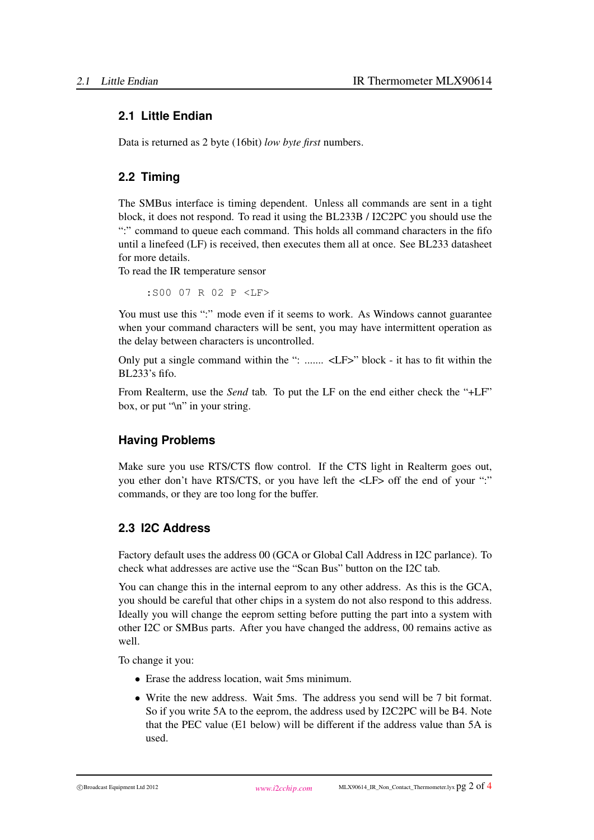#### <span id="page-1-0"></span>**2.1 Little Endian**

Data is returned as 2 byte (16bit) *low byte first* numbers.

#### <span id="page-1-1"></span>**2.2 Timing**

The SMBus interface is timing dependent. Unless all commands are sent in a tight block, it does not respond. To read it using the BL233B / I2C2PC you should use the ":" command to queue each command. This holds all command characters in the fifo until a linefeed (LF) is received, then executes them all at once. See BL233 datasheet for more details.

To read the IR temperature sensor

:S00 07 R 02 P <LF>

You must use this ":" mode even if it seems to work. As Windows cannot guarantee when your command characters will be sent, you may have intermittent operation as the delay between characters is uncontrolled.

Only put a single command within the ": ....... <LF>" block - it has to fit within the  $BL233$ 's fifo.

From Realterm, use the *Send* tab. To put the LF on the end either check the "+LF" box, or put "\n" in your string.

#### **Having Problems**

Make sure you use RTS/CTS flow control. If the CTS light in Realterm goes out, you ether don't have RTS/CTS, or you have left the <LF> off the end of your ":" commands, or they are too long for the buffer.

#### <span id="page-1-2"></span>**2.3 I2C Address**

Factory default uses the address 00 (GCA or Global Call Address in I2C parlance). To check what addresses are active use the "Scan Bus" button on the I2C tab.

You can change this in the internal eeprom to any other address. As this is the GCA, you should be careful that other chips in a system do not also respond to this address. Ideally you will change the eeprom setting before putting the part into a system with other I2C or SMBus parts. After you have changed the address, 00 remains active as well.

To change it you:

- Erase the address location, wait 5ms minimum.
- Write the new address. Wait 5ms. The address you send will be 7 bit format. So if you write 5A to the eeprom, the address used by I2C2PC will be B4. Note that the PEC value (E1 below) will be different if the address value than 5A is used.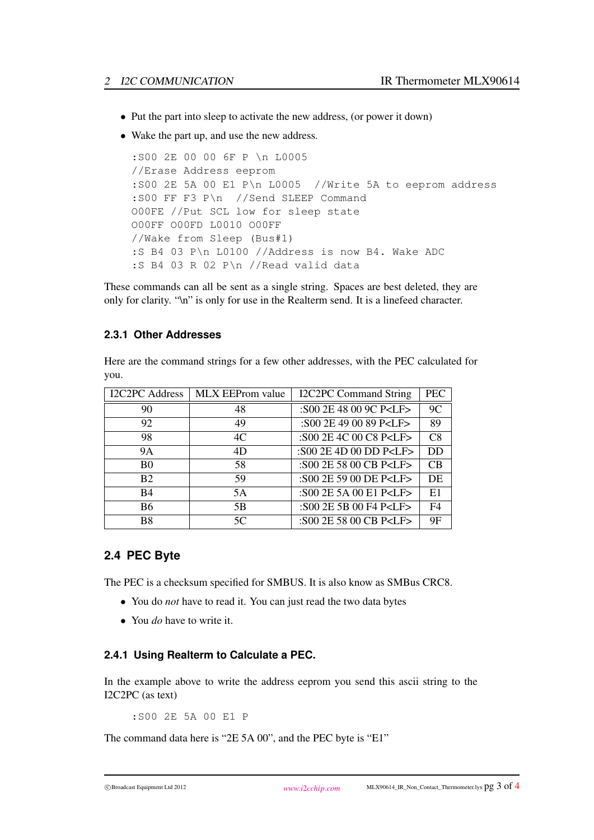- Put the part into sleep to activate the new address, (or power it down)
- Wake the part up, and use the new address.

```
:S00 2E 00 00 6F P \n L0005
//Erase Address eeprom
:S00 2E 5A 00 E1 P\n L0005 //Write 5A to eeprom address
:S00 FF F3 P\n //Send SLEEP Command
O00FE //Put SCL low for sleep state
O00FF O00FD L0010 O00FF
//Wake from Sleep (Bus#1)
:S B4 03 P\n L0100 //Address is now B4. Wake ADC
:S B4 03 R 02 P\n //Read valid data
```
These commands can all be sent as a single string. Spaces are best deleted, they are only for clarity. "\n" is only for use in the Realterm send. It is a linefeed character.

#### **2.3.1 Other Addresses**

Here are the command strings for a few other addresses, with the PEC calculated for you.

| <b>I2C2PC</b> Address | MLX EEProm value | <b>I2C2PC Command String</b> | <b>PEC</b> |
|-----------------------|------------------|------------------------------|------------|
| 90                    | 48               | :S00 2E 48 00 9C P <lf></lf> | 9C         |
| 92                    | 49               | :S00 2E 49 00 89 P <lf></lf> | 89         |
| 98                    | 4C               | :S00 2E 4C 00 C8 P <lf></lf> | C8         |
| <b>9A</b>             | 4D               | :S00 2E 4D 00 DD P <lf></lf> | DD         |
| B <sub>0</sub>        | 58               | :S00 2E 58 00 CB P <lf></lf> | CB         |
| B <sub>2</sub>        | 59               | :S00 2E 59 00 DE P <lf></lf> | DE         |
| <b>B4</b>             | 5A               | :S00 2E 5A 00 E1 P <lf></lf> | E1         |
| B6                    | 5B               | :S00 2E 5B 00 F4 P <lf></lf> | F4         |
| B8                    | 5C               | :S00 2E 58 00 CB P <lf></lf> | 9F         |

#### <span id="page-2-0"></span>**2.4 PEC Byte**

The PEC is a checksum specified for SMBUS. It is also know as SMBus CRC8.

- You do *not* have to read it. You can just read the two data bytes
- You *do* have to write it.

#### **2.4.1 Using Realterm to Calculate a PEC.**

In the example above to write the address eeprom you send this ascii string to the I2C2PC (as text)

:S00 2E 5A 00 E1 P

The command data here is "2E 5A 00", and the PEC byte is "E1"